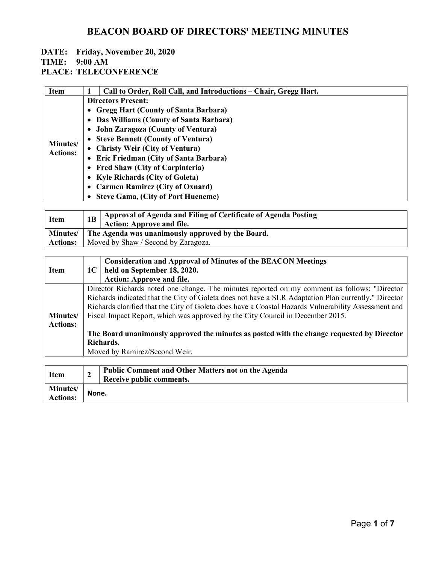## DATE: Friday, November 20, 2020

#### TIME: 9:00 AM

PLACE: TELECONFERENCE

| <b>Item</b>                 | Call to Order, Roll Call, and Introductions – Chair, Gregg Hart. |  |  |
|-----------------------------|------------------------------------------------------------------|--|--|
| Minutes/<br><b>Actions:</b> | <b>Directors Present:</b>                                        |  |  |
|                             | • Gregg Hart (County of Santa Barbara)                           |  |  |
|                             | • Das Williams (County of Santa Barbara)                         |  |  |
|                             | • John Zaragoza (County of Ventura)                              |  |  |
|                             | • Steve Bennett (County of Ventura)                              |  |  |
|                             | • Christy Weir (City of Ventura)                                 |  |  |
|                             | • Eric Friedman (City of Santa Barbara)                          |  |  |
|                             | • Fred Shaw (City of Carpinteria)                                |  |  |
|                             | • Kyle Richards (City of Goleta)                                 |  |  |
|                             | • Carmen Ramirez (City of Oxnard)                                |  |  |
|                             | <b>Steve Gama, (City of Port Hueneme)</b>                        |  |  |

| <b>Item</b>     |                                                              | Approval of Agenda and Filing of Certificate of Agenda Posting<br><b>Action: Approve and file.</b> |
|-----------------|--------------------------------------------------------------|----------------------------------------------------------------------------------------------------|
|                 | Minutes/   The Agenda was unanimously approved by the Board. |                                                                                                    |
| <b>Actions:</b> | Moved by Shaw / Second by Zaragoza.                          |                                                                                                    |

|                  |                                                                                                                                                                                       | <b>Consideration and Approval of Minutes of the BEACON Meetings</b> |  |
|------------------|---------------------------------------------------------------------------------------------------------------------------------------------------------------------------------------|---------------------------------------------------------------------|--|
| <b>Item</b>      | 1C                                                                                                                                                                                    | held on September 18, 2020.                                         |  |
|                  |                                                                                                                                                                                       | <b>Action: Approve and file.</b>                                    |  |
|                  | Director Richards noted one change. The minutes reported on my comment as follows: "Director                                                                                          |                                                                     |  |
|                  | Richards indicated that the City of Goleta does not have a SLR Adaptation Plan currently." Director                                                                                   |                                                                     |  |
|                  | Richards clarified that the City of Goleta does have a Coastal Hazards Vulnerability Assessment and<br>Fiscal Impact Report, which was approved by the City Council in December 2015. |                                                                     |  |
| <b>Minutes</b> / |                                                                                                                                                                                       |                                                                     |  |
| <b>Actions:</b>  |                                                                                                                                                                                       |                                                                     |  |
|                  | The Board unanimously approved the minutes as posted with the change requested by Director                                                                                            |                                                                     |  |
|                  | Richards.                                                                                                                                                                             |                                                                     |  |
|                  | Moved by Ramirez/Second Weir.                                                                                                                                                         |                                                                     |  |
|                  |                                                                                                                                                                                       |                                                                     |  |
|                  |                                                                                                                                                                                       | <b>Public Comment and Other Matters not on the Agenda</b>           |  |

| Item                                |       | Public Comment and Other Matters not on the Agenda<br>Receive public comments. |
|-------------------------------------|-------|--------------------------------------------------------------------------------|
| <b>Minutes</b> /<br><b>Actions:</b> | None. |                                                                                |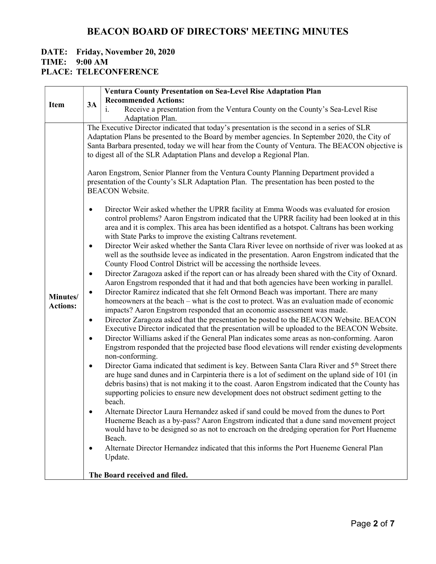#### DATE: Friday, November 20, 2020 TIME: 9:00 AM PLACE: TELECONFERENCE

| <b>Item</b>                 |                                                                              | <b>Ventura County Presentation on Sea-Level Rise Adaptation Plan</b>                                                                                                                                                                                                                                                                                                                                                                                                                                                                                                                                                                                                                                                                                                                                                                                                                                                                                                                                                                                                                                                                                                                                                                                                                                                                                                                                                                                                                                                                                                                                                                                                                                                                                                                                                                                                                                                                                                                                                                                                                                                                                                                                                                                                                                                                                                                                                                                                                                                                                                                                                                                                                                                                                                                                                                                                                                                                                 |
|-----------------------------|------------------------------------------------------------------------------|------------------------------------------------------------------------------------------------------------------------------------------------------------------------------------------------------------------------------------------------------------------------------------------------------------------------------------------------------------------------------------------------------------------------------------------------------------------------------------------------------------------------------------------------------------------------------------------------------------------------------------------------------------------------------------------------------------------------------------------------------------------------------------------------------------------------------------------------------------------------------------------------------------------------------------------------------------------------------------------------------------------------------------------------------------------------------------------------------------------------------------------------------------------------------------------------------------------------------------------------------------------------------------------------------------------------------------------------------------------------------------------------------------------------------------------------------------------------------------------------------------------------------------------------------------------------------------------------------------------------------------------------------------------------------------------------------------------------------------------------------------------------------------------------------------------------------------------------------------------------------------------------------------------------------------------------------------------------------------------------------------------------------------------------------------------------------------------------------------------------------------------------------------------------------------------------------------------------------------------------------------------------------------------------------------------------------------------------------------------------------------------------------------------------------------------------------------------------------------------------------------------------------------------------------------------------------------------------------------------------------------------------------------------------------------------------------------------------------------------------------------------------------------------------------------------------------------------------------------------------------------------------------------------------------------------------------|
|                             | 3A                                                                           | <b>Recommended Actions:</b>                                                                                                                                                                                                                                                                                                                                                                                                                                                                                                                                                                                                                                                                                                                                                                                                                                                                                                                                                                                                                                                                                                                                                                                                                                                                                                                                                                                                                                                                                                                                                                                                                                                                                                                                                                                                                                                                                                                                                                                                                                                                                                                                                                                                                                                                                                                                                                                                                                                                                                                                                                                                                                                                                                                                                                                                                                                                                                                          |
|                             |                                                                              | Receive a presentation from the Ventura County on the County's Sea-Level Rise                                                                                                                                                                                                                                                                                                                                                                                                                                                                                                                                                                                                                                                                                                                                                                                                                                                                                                                                                                                                                                                                                                                                                                                                                                                                                                                                                                                                                                                                                                                                                                                                                                                                                                                                                                                                                                                                                                                                                                                                                                                                                                                                                                                                                                                                                                                                                                                                                                                                                                                                                                                                                                                                                                                                                                                                                                                                        |
| Minutes/<br><b>Actions:</b> | $\bullet$<br>$\bullet$<br>٠<br>$\bullet$<br>$\bullet$<br>٠<br>$\bullet$<br>٠ | Adaptation Plan.<br>The Executive Director indicated that today's presentation is the second in a series of SLR<br>Adaptation Plans be presented to the Board by member agencies. In September 2020, the City of<br>Santa Barbara presented, today we will hear from the County of Ventura. The BEACON objective is<br>to digest all of the SLR Adaptation Plans and develop a Regional Plan.<br>Aaron Engstrom, Senior Planner from the Ventura County Planning Department provided a<br>presentation of the County's SLR Adaptation Plan. The presentation has been posted to the<br><b>BEACON Website.</b><br>Director Weir asked whether the UPRR facility at Emma Woods was evaluated for erosion<br>control problems? Aaron Engstrom indicated that the UPRR facility had been looked at in this<br>area and it is complex. This area has been identified as a hotspot. Caltrans has been working<br>with State Parks to improve the existing Caltrans revetement.<br>Director Weir asked whether the Santa Clara River levee on northside of river was looked at as<br>well as the southside levee as indicated in the presentation. Aaron Engstrom indicated that the<br>County Flood Control District will be accessing the northside levees.<br>Director Zaragoza asked if the report can or has already been shared with the City of Oxnard.<br>Aaron Engstrom responded that it had and that both agencies have been working in parallel.<br>Director Ramirez indicated that she felt Ormond Beach was important. There are many<br>homeowners at the beach – what is the cost to protect. Was an evaluation made of economic<br>impacts? Aaron Engstrom responded that an economic assessment was made.<br>Director Zaragoza asked that the presentation be posted to the BEACON Website. BEACON<br>Executive Director indicated that the presentation will be uploaded to the BEACON Website.<br>Director Williams asked if the General Plan indicates some areas as non-conforming. Aaron<br>Engstrom responded that the projected base flood elevations will render existing developments<br>non-conforming.<br>Director Gama indicated that sediment is key. Between Santa Clara River and 5 <sup>th</sup> Street there<br>are huge sand dunes and in Carpinteria there is a lot of sediment on the upland side of 101 (in<br>debris basins) that is not making it to the coast. Aaron Engstrom indicated that the County has<br>supporting policies to ensure new development does not obstruct sediment getting to the<br>beach.<br>Alternate Director Laura Hernandez asked if sand could be moved from the dunes to Port<br>Hueneme Beach as a by-pass? Aaron Engstrom indicated that a dune sand movement project<br>would have to be designed so as not to encroach on the dredging operation for Port Hueneme<br>Beach.<br>Alternate Director Hernandez indicated that this informs the Port Hueneme General Plan<br>Update. |
|                             |                                                                              | The Board received and filed.                                                                                                                                                                                                                                                                                                                                                                                                                                                                                                                                                                                                                                                                                                                                                                                                                                                                                                                                                                                                                                                                                                                                                                                                                                                                                                                                                                                                                                                                                                                                                                                                                                                                                                                                                                                                                                                                                                                                                                                                                                                                                                                                                                                                                                                                                                                                                                                                                                                                                                                                                                                                                                                                                                                                                                                                                                                                                                                        |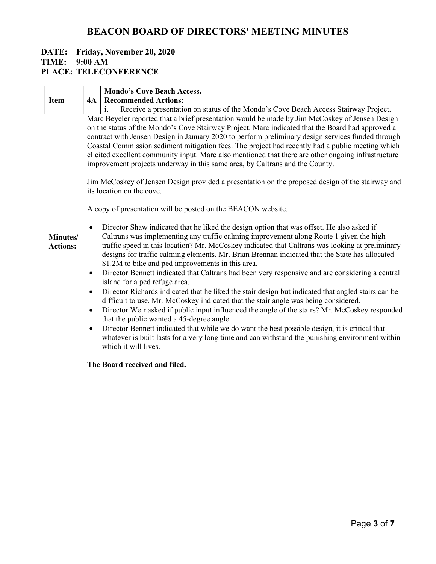#### DATE: Friday, November 20, 2020 TIME: 9:00 AM PLACE: TELECONFERENCE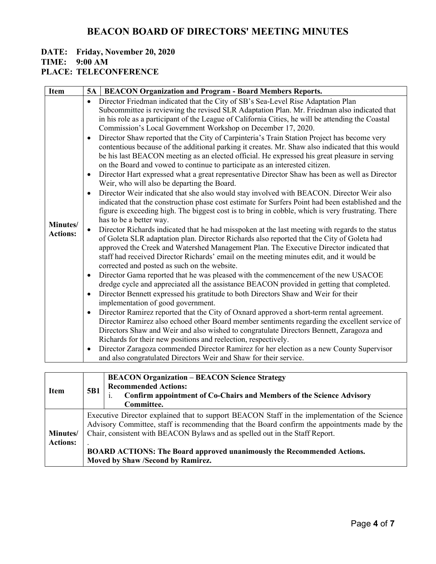## DATE: Friday, November 20, 2020

TIME: 9:00 AM

### PLACE: TELECONFERENCE

| Item                        | 5B1                                                                                                                                                                                                                                                                                                                                                                                                   | <b>BEACON Organization – BEACON Science Strategy</b><br><b>Recommended Actions:</b><br>Confirm appointment of Co-Chairs and Members of the Science Advisory<br>Committee. |
|-----------------------------|-------------------------------------------------------------------------------------------------------------------------------------------------------------------------------------------------------------------------------------------------------------------------------------------------------------------------------------------------------------------------------------------------------|---------------------------------------------------------------------------------------------------------------------------------------------------------------------------|
| Minutes/<br><b>Actions:</b> | Executive Director explained that to support BEACON Staff in the implementation of the Science<br>Advisory Committee, staff is recommending that the Board confirm the appointments made by the<br>Chair, consistent with BEACON Bylaws and as spelled out in the Staff Report.<br><b>BOARD ACTIONS: The Board approved unanimously the Recommended Actions.</b><br>Moved by Shaw /Second by Ramirez. |                                                                                                                                                                           |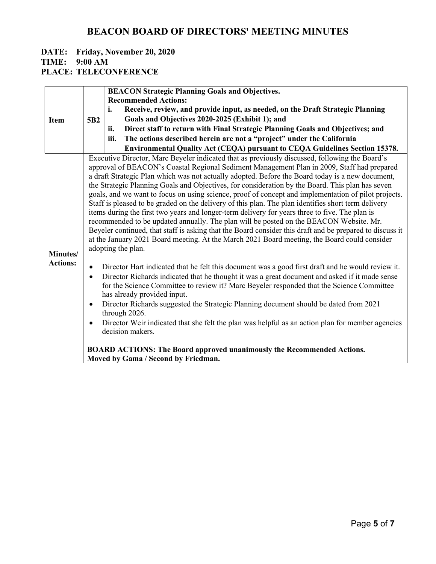#### DATE: Friday, November 20, 2020 TIME: 9:00 AM PLACE: TELECONFERENCE

|                             |                 | <b>BEACON Strategic Planning Goals and Objectives.</b>                                                                                                                                                                                                                                                                                                                                                                                                                                                                                                                                                                                                                                                                                                                                                                                                                                                                                                                                                                                                                                                                                                                                                                                                                                                                                                                                                                                                                                                                                                                                                                 |
|-----------------------------|-----------------|------------------------------------------------------------------------------------------------------------------------------------------------------------------------------------------------------------------------------------------------------------------------------------------------------------------------------------------------------------------------------------------------------------------------------------------------------------------------------------------------------------------------------------------------------------------------------------------------------------------------------------------------------------------------------------------------------------------------------------------------------------------------------------------------------------------------------------------------------------------------------------------------------------------------------------------------------------------------------------------------------------------------------------------------------------------------------------------------------------------------------------------------------------------------------------------------------------------------------------------------------------------------------------------------------------------------------------------------------------------------------------------------------------------------------------------------------------------------------------------------------------------------------------------------------------------------------------------------------------------------|
|                             |                 | <b>Recommended Actions:</b>                                                                                                                                                                                                                                                                                                                                                                                                                                                                                                                                                                                                                                                                                                                                                                                                                                                                                                                                                                                                                                                                                                                                                                                                                                                                                                                                                                                                                                                                                                                                                                                            |
|                             |                 | i.<br>Receive, review, and provide input, as needed, on the Draft Strategic Planning                                                                                                                                                                                                                                                                                                                                                                                                                                                                                                                                                                                                                                                                                                                                                                                                                                                                                                                                                                                                                                                                                                                                                                                                                                                                                                                                                                                                                                                                                                                                   |
| Item                        | 5B <sub>2</sub> | Goals and Objectives 2020-2025 (Exhibit 1); and                                                                                                                                                                                                                                                                                                                                                                                                                                                                                                                                                                                                                                                                                                                                                                                                                                                                                                                                                                                                                                                                                                                                                                                                                                                                                                                                                                                                                                                                                                                                                                        |
|                             |                 | Direct staff to return with Final Strategic Planning Goals and Objectives; and<br>ii.                                                                                                                                                                                                                                                                                                                                                                                                                                                                                                                                                                                                                                                                                                                                                                                                                                                                                                                                                                                                                                                                                                                                                                                                                                                                                                                                                                                                                                                                                                                                  |
|                             |                 | The actions described herein are not a "project" under the California<br>iii.                                                                                                                                                                                                                                                                                                                                                                                                                                                                                                                                                                                                                                                                                                                                                                                                                                                                                                                                                                                                                                                                                                                                                                                                                                                                                                                                                                                                                                                                                                                                          |
|                             |                 | Environmental Quality Act (CEQA) pursuant to CEQA Guidelines Section 15378.                                                                                                                                                                                                                                                                                                                                                                                                                                                                                                                                                                                                                                                                                                                                                                                                                                                                                                                                                                                                                                                                                                                                                                                                                                                                                                                                                                                                                                                                                                                                            |
| Minutes/<br><b>Actions:</b> | $\bullet$       | Executive Director, Marc Beyeler indicated that as previously discussed, following the Board's<br>approval of BEACON's Coastal Regional Sediment Management Plan in 2009, Staff had prepared<br>a draft Strategic Plan which was not actually adopted. Before the Board today is a new document,<br>the Strategic Planning Goals and Objectives, for consideration by the Board. This plan has seven<br>goals, and we want to focus on using science, proof of concept and implementation of pilot projects.<br>Staff is pleased to be graded on the delivery of this plan. The plan identifies short term delivery<br>items during the first two years and longer-term delivery for years three to five. The plan is<br>recommended to be updated annually. The plan will be posted on the BEACON Website. Mr.<br>Beyeler continued, that staff is asking that the Board consider this draft and be prepared to discuss it<br>at the January 2021 Board meeting. At the March 2021 Board meeting, the Board could consider<br>adopting the plan.<br>Director Hart indicated that he felt this document was a good first draft and he would review it.<br>Director Richards indicated that he thought it was a great document and asked if it made sense<br>for the Science Committee to review it? Marc Beyeler responded that the Science Committee<br>has already provided input.<br>Director Richards suggested the Strategic Planning document should be dated from 2021<br>through 2026.<br>Director Weir indicated that she felt the plan was helpful as an action plan for member agencies<br>decision makers. |
|                             |                 | <b>BOARD ACTIONS: The Board approved unanimously the Recommended Actions.</b><br>Moved by Gama / Second by Friedman.                                                                                                                                                                                                                                                                                                                                                                                                                                                                                                                                                                                                                                                                                                                                                                                                                                                                                                                                                                                                                                                                                                                                                                                                                                                                                                                                                                                                                                                                                                   |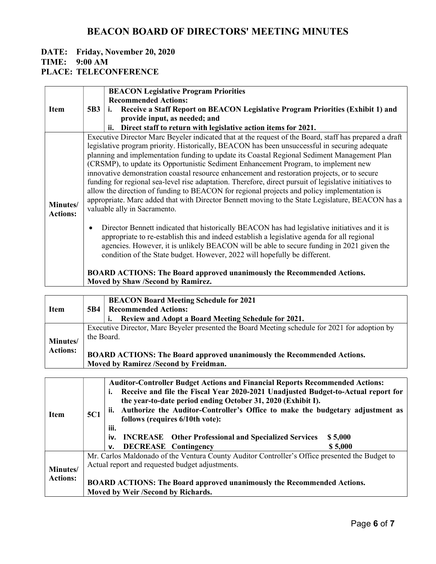# DATE: Friday, November 20, 2020 TIME: 9:00 AM

PLACE: TELECONFERENCE

|                             |                                                                                                                                                                                                                                                                                                                                                                                                                                                                                                                                                                                                                                                                                                                                                                                                                                             | <b>BEACON Legislative Program Priorities</b>                                                                                                                                                                                                                                                                                                                              |  |
|-----------------------------|---------------------------------------------------------------------------------------------------------------------------------------------------------------------------------------------------------------------------------------------------------------------------------------------------------------------------------------------------------------------------------------------------------------------------------------------------------------------------------------------------------------------------------------------------------------------------------------------------------------------------------------------------------------------------------------------------------------------------------------------------------------------------------------------------------------------------------------------|---------------------------------------------------------------------------------------------------------------------------------------------------------------------------------------------------------------------------------------------------------------------------------------------------------------------------------------------------------------------------|--|
|                             |                                                                                                                                                                                                                                                                                                                                                                                                                                                                                                                                                                                                                                                                                                                                                                                                                                             | <b>Recommended Actions:</b>                                                                                                                                                                                                                                                                                                                                               |  |
| <b>Item</b>                 | 5B3                                                                                                                                                                                                                                                                                                                                                                                                                                                                                                                                                                                                                                                                                                                                                                                                                                         | Receive a Staff Report on BEACON Legislative Program Priorities (Exhibit 1) and<br>i.                                                                                                                                                                                                                                                                                     |  |
|                             |                                                                                                                                                                                                                                                                                                                                                                                                                                                                                                                                                                                                                                                                                                                                                                                                                                             | provide input, as needed; and                                                                                                                                                                                                                                                                                                                                             |  |
|                             |                                                                                                                                                                                                                                                                                                                                                                                                                                                                                                                                                                                                                                                                                                                                                                                                                                             | Direct staff to return with legislative action items for 2021.                                                                                                                                                                                                                                                                                                            |  |
| Minutes/<br><b>Actions:</b> | Executive Director Marc Beyeler indicated that at the request of the Board, staff has prepared a draft<br>legislative program priority. Historically, BEACON has been unsuccessful in securing adequate<br>planning and implementation funding to update its Coastal Regional Sediment Management Plan<br>(CRSMP), to update its Opportunistic Sediment Enhancement Program, to implement new<br>innovative demonstration coastal resource enhancement and restoration projects, or to secure<br>funding for regional sea-level rise adaptation. Therefore, direct pursuit of legislative initiatives to<br>allow the direction of funding to BEACON for regional projects and policy implementation is<br>appropriate. Marc added that with Director Bennett moving to the State Legislature, BEACON has a<br>valuable ally in Sacramento. |                                                                                                                                                                                                                                                                                                                                                                           |  |
|                             | Director Bennett indicated that historically BEACON has had legislative initiatives and it is<br>$\bullet$<br>appropriate to re-establish this and indeed establish a legislative agenda for all regional<br>agencies. However, it is unlikely BEACON will be able to secure funding in 2021 given the<br>condition of the State budget. However, 2022 will hopefully be different.                                                                                                                                                                                                                                                                                                                                                                                                                                                         |                                                                                                                                                                                                                                                                                                                                                                           |  |
|                             | <b>BOARD ACTIONS: The Board approved unanimously the Recommended Actions.</b><br>Moved by Shaw /Second by Ramirez.                                                                                                                                                                                                                                                                                                                                                                                                                                                                                                                                                                                                                                                                                                                          |                                                                                                                                                                                                                                                                                                                                                                           |  |
|                             |                                                                                                                                                                                                                                                                                                                                                                                                                                                                                                                                                                                                                                                                                                                                                                                                                                             |                                                                                                                                                                                                                                                                                                                                                                           |  |
|                             |                                                                                                                                                                                                                                                                                                                                                                                                                                                                                                                                                                                                                                                                                                                                                                                                                                             | <b>BEACON Board Meeting Schedule for 2021</b>                                                                                                                                                                                                                                                                                                                             |  |
| <b>Item</b>                 | 5B4                                                                                                                                                                                                                                                                                                                                                                                                                                                                                                                                                                                                                                                                                                                                                                                                                                         | <b>Recommended Actions:</b>                                                                                                                                                                                                                                                                                                                                               |  |
|                             |                                                                                                                                                                                                                                                                                                                                                                                                                                                                                                                                                                                                                                                                                                                                                                                                                                             | Review and Adopt a Board Meeting Schedule for 2021.                                                                                                                                                                                                                                                                                                                       |  |
|                             | Executive Director, Marc Beyeler presented the Board Meeting schedule for 2021 for adoption by<br>the Board.                                                                                                                                                                                                                                                                                                                                                                                                                                                                                                                                                                                                                                                                                                                                |                                                                                                                                                                                                                                                                                                                                                                           |  |
| Minutes/                    |                                                                                                                                                                                                                                                                                                                                                                                                                                                                                                                                                                                                                                                                                                                                                                                                                                             |                                                                                                                                                                                                                                                                                                                                                                           |  |
| <b>Actions:</b>             | BOARD ACTIONS: The Board approved unanimously the Recommended Actions.<br>Moved by Ramirez /Second by Freidman.                                                                                                                                                                                                                                                                                                                                                                                                                                                                                                                                                                                                                                                                                                                             |                                                                                                                                                                                                                                                                                                                                                                           |  |
|                             |                                                                                                                                                                                                                                                                                                                                                                                                                                                                                                                                                                                                                                                                                                                                                                                                                                             |                                                                                                                                                                                                                                                                                                                                                                           |  |
| <b>Item</b>                 | 5C1                                                                                                                                                                                                                                                                                                                                                                                                                                                                                                                                                                                                                                                                                                                                                                                                                                         | <b>Auditor-Controller Budget Actions and Financial Reports Recommended Actions:</b><br>Receive and file the Fiscal Year 2020-2021 Unadjusted Budget-to-Actual report for<br>i.<br>the year-to-date period ending October 31, 2020 (Exhibit I).<br>Authorize the Auditor-Controller's Office to make the budgetary adjustment as<br>ii.<br>follows (requires 6/10th vote): |  |
|                             |                                                                                                                                                                                                                                                                                                                                                                                                                                                                                                                                                                                                                                                                                                                                                                                                                                             | iii.<br><b>Other Professional and Specialized Services</b><br>iv.<br><b>INCREASE</b><br>\$5,000<br><b>DECREASE</b> Contingency<br>\$5,000<br>v.                                                                                                                                                                                                                           |  |
|                             |                                                                                                                                                                                                                                                                                                                                                                                                                                                                                                                                                                                                                                                                                                                                                                                                                                             | Mr. Carlos Maldonado of the Ventura County Auditor Controller's Office presented the Budget to                                                                                                                                                                                                                                                                            |  |
| Minutes/                    |                                                                                                                                                                                                                                                                                                                                                                                                                                                                                                                                                                                                                                                                                                                                                                                                                                             | Actual report and requested budget adjustments.                                                                                                                                                                                                                                                                                                                           |  |
| <b>Actions:</b>             |                                                                                                                                                                                                                                                                                                                                                                                                                                                                                                                                                                                                                                                                                                                                                                                                                                             | BOARD ACTIONS: The Board approved unanimously the Recommended Actions.<br>Moved by Weir /Second by Richards.                                                                                                                                                                                                                                                              |  |